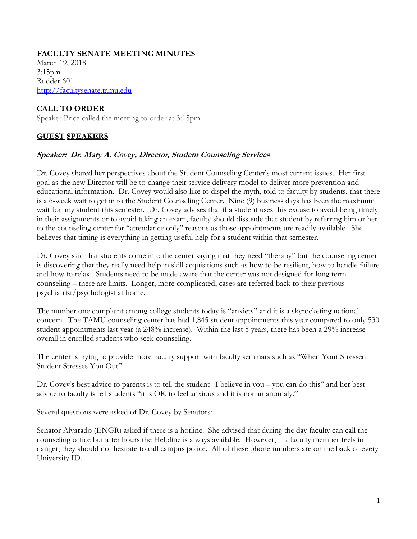# **FACULTY SENATE MEETING MINUTES**

March 19, 2018 3:15pm Rudder 601 [http://facultysenate.tamu.edu](http://facultysenate.tamu.edu/)

# **CALL TO ORDER**

Speaker Price called the meeting to order at 3:15pm.

# **GUEST SPEAKERS**

# **Speaker: Dr. Mary A. Covey, Director, Student Counseling Services**

Dr. Covey shared her perspectives about the Student Counseling Center's most current issues. Her first goal as the new Director will be to change their service delivery model to deliver more prevention and educational information. Dr. Covey would also like to dispel the myth, told to faculty by students, that there is a 6-week wait to get in to the Student Counseling Center. Nine (9) business days has been the maximum wait for any student this semester. Dr. Covey advises that if a student uses this excuse to avoid being timely in their assignments or to avoid taking an exam, faculty should dissuade that student by referring him or her to the counseling center for "attendance only" reasons as those appointments are readily available. She believes that timing is everything in getting useful help for a student within that semester.

Dr. Covey said that students come into the center saying that they need "therapy" but the counseling center is discovering that they really need help in skill acquisitions such as how to be resilient, how to handle failure and how to relax. Students need to be made aware that the center was not designed for long term counseling – there are limits. Longer, more complicated, cases are referred back to their previous psychiatrist/psychologist at home.

The number one complaint among college students today is "anxiety" and it is a skyrocketing national concern. The TAMU counseling center has had 1,845 student appointments this year compared to only 530 student appointments last year (a 248% increase). Within the last 5 years, there has been a 29% increase overall in enrolled students who seek counseling.

The center is trying to provide more faculty support with faculty seminars such as "When Your Stressed Student Stresses You Out".

Dr. Covey's best advice to parents is to tell the student "I believe in you – you can do this" and her best advice to faculty is tell students "it is OK to feel anxious and it is not an anomaly."

Several questions were asked of Dr. Covey by Senators:

Senator Alvarado (ENGR) asked if there is a hotline. She advised that during the day faculty can call the counseling office but after hours the Helpline is always available. However, if a faculty member feels in danger, they should not hesitate to call campus police. All of these phone numbers are on the back of every University ID.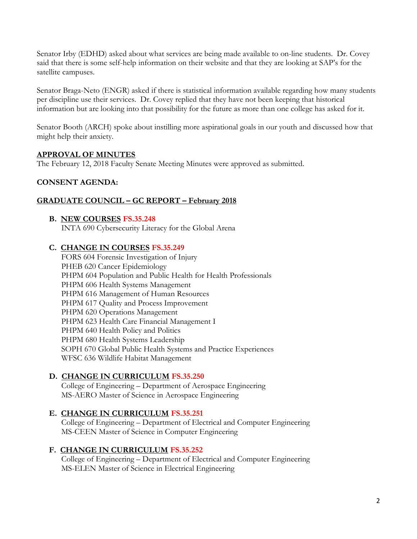Senator Irby (EDHD) asked about what services are being made available to on-line students. Dr. Covey said that there is some self-help information on their website and that they are looking at SAP's for the satellite campuses.

Senator Braga-Neto (ENGR) asked if there is statistical information available regarding how many students per discipline use their services. Dr. Covey replied that they have not been keeping that historical information but are looking into that possibility for the future as more than one college has asked for it.

Senator Booth (ARCH) spoke about instilling more aspirational goals in our youth and discussed how that might help their anxiety.

# **APPROVAL OF MINUTES**

The February 12, 2018 Faculty Senate Meeting Minutes were approved as submitted.

# **CONSENT AGENDA:**

# **GRADUATE COUNCIL – GC REPORT – February 2018**

#### **B. NEW COURSES FS.35.248**

INTA 690 Cybersecurity Literacy for the Global Arena

# **C. CHANGE IN COURSES FS.35.249**

FORS 604 Forensic Investigation of Injury PHEB 620 Cancer Epidemiology PHPM 604 Population and Public Health for Health Professionals PHPM 606 Health Systems Management PHPM 616 Management of Human Resources PHPM 617 Quality and Process Improvement PHPM 620 Operations Management PHPM 623 Health Care Financial Management I PHPM 640 Health Policy and Politics PHPM 680 Health Systems Leadership SOPH 670 Global Public Health Systems and Practice Experiences WFSC 636 Wildlife Habitat Management

# **D. CHANGE IN CURRICULUM FS.35.250**

College of Engineering – Department of Aerospace Engineering MS-AERO Master of Science in Aerospace Engineering

# **E. CHANGE IN CURRICULUM FS.35.251**

College of Engineering – Department of Electrical and Computer Engineering MS-CEEN Master of Science in Computer Engineering

# **F. CHANGE IN CURRICULUM FS.35.252**

College of Engineering – Department of Electrical and Computer Engineering MS-ELEN Master of Science in Electrical Engineering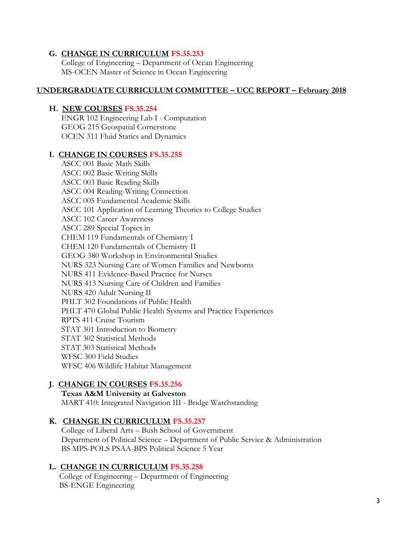#### **G. CHANGE IN CURRICULUM FS.35.253**

College of Engineering – Department of Ocean Engineering MS-OCEN Master of Science in Ocean Engineering

### **UNDERGRADUATE CURRICULUM COMMITTEE – UCC REPORT – February 2018**

### **H. NEW COURSES FS.35.254**

ENGR 102 Engineering Lab I - Computation GEOG 215 Geospatial Cornerstone OCEN 311 Fluid Statics and Dynamics

#### **I. CHANGE IN COURSES FS.35.255**

ASCC 001 Basic Math Skills ASCC 002 Basic Writing Skills ASCC 003 Basic Reading Skills ASCC 004 Reading-Writing Connection ASCC 005 Fundamental Academic Skills ASCC 101 Application of Learning Theories to College Studies ASCC 102 Career Awareness ASCC 289 Special Topics in CHEM 119 Fundamentals of Chemistry I CHEM 120 Fundamentals of Chemistry II GEOG 380 Workshop in Environmental Studies NURS 323 Nursing Care of Women Families and Newborns NURS 411 Evidence-Based Practice for Nurses NURS 413 Nursing Care of Children and Families NURS 420 Adult Nursing II PHLT 302 Foundations of Public Health PHLT 470 Global Public Health Systems and Practice Experiences RPTS 411 Cruise Tourism STAT 301 Introduction to Biometry STAT 302 Statistical Methods STAT 303 Statistical Methods WFSC 300 Field Studies WFSC 406 Wildlife Habitat Management

# **J. CHANGE IN COURSES FS.35.256**

#### **Texas A&M University at Galveston** MART 410: Integrated Navigation III - Bridge Watchstanding

#### **K. CHANGE IN CURRICULUM FS.35.257**

College of Liberal Arts – Bush School of Government Department of Political Science – Department of Public Service & Administration BS MPS-POLS PSAA-BPS Political Science 5 Year

#### **L. CHANGE IN CURRICULUM FS.35.258**

 College of Engineering – Department of Engineering BS-ENGE Engineering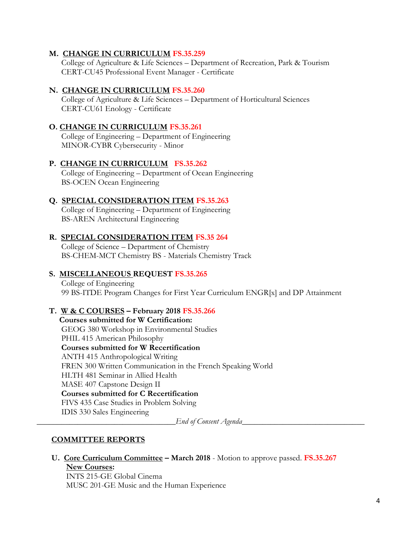### **M. CHANGE IN CURRICULUM FS.35.259**

College of Agriculture & Life Sciences – Department of Recreation, Park & Tourism CERT-CU45 Professional Event Manager - Certificate

#### **N. CHANGE IN CURRICULUM FS.35.260**

College of Agriculture & Life Sciences – Department of Horticultural Sciences CERT-CU61 Enology - Certificate

### **O. CHANGE IN CURRICULUM FS.35.261**

College of Engineering – Department of Engineering MINOR-CYBR Cybersecurity - Minor

#### **P. CHANGE IN CURRICULUM FS.35.262**

College of Engineering – Department of Ocean Engineering BS-OCEN Ocean Engineering

# **Q. SPECIAL CONSIDERATION ITEM FS.35.263**

College of Engineering – Department of Engineering BS-AREN Architectural Engineering

# **R. SPECIAL CONSIDERATION ITEM FS.35 264**

College of Science – Department of Chemistry BS-CHEM-MCT Chemistry BS - Materials Chemistry Track

# **S. MISCELLANEOUS REQUEST FS.35.265**

College of Engineering 99 BS-ITDE Program Changes for First Year Curriculum ENGR[x] and DP Attainment

# **T. W & C COURSES – February 2018 FS.35.266**

 **Courses submitted for W Certification:**  GEOG 380 Workshop in Environmental Studies PHIL 415 American Philosophy **Courses submitted for W Recertification** ANTH 415 Anthropological Writing FREN 300 Written Communication in the French Speaking World HLTH 481 Seminar in Allied Health MASE 407 Capstone Design II **Courses submitted for C Recertification** FIVS 435 Case Studies in Problem Solving IDIS 330 Sales Engineering

*End of Consent Agenda* 

# **COMMITTEE REPORTS**

**U. Core Curriculum Committee – March 2018** - Motion to approve passed. **FS.35.267 New Courses:**

INTS 215-GE Global Cinema MUSC 201-GE Music and the Human Experience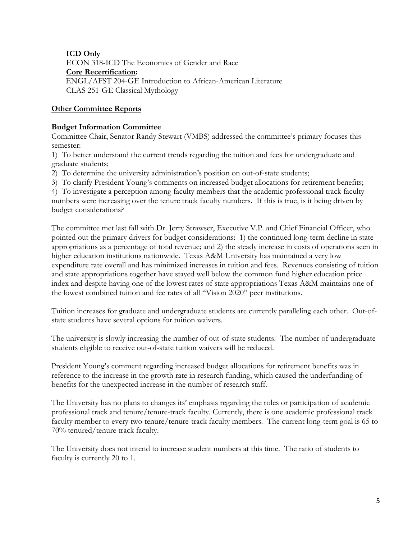# **ICD Only**

ECON 318-ICD The Economics of Gender and Race **Core Recertification:** ENGL/AFST 204-GE Introduction to African-American Literature CLAS 251-GE Classical Mythology

# **Other Committee Reports**

# **Budget Information Committee**

Committee Chair, Senator Randy Stewart (VMBS) addressed the committee's primary focuses this semester:

1) To better understand the current trends regarding the tuition and fees for undergraduate and graduate students;

2) To determine the university administration's position on out-of-state students;

3) To clarify President Young's comments on increased budget allocations for retirement benefits;

4) To investigate a perception among faculty members that the academic professional track faculty numbers were increasing over the tenure track faculty numbers. If this is true, is it being driven by budget considerations?

The committee met last fall with Dr. Jerry Strawser, Executive V.P. and Chief Financial Officer, who pointed out the primary drivers for budget considerations: 1) the continued long-term decline in state appropriations as a percentage of total revenue; and 2) the steady increase in costs of operations seen in higher education institutions nationwide. Texas A&M University has maintained a very low expenditure rate overall and has minimized increases in tuition and fees. Revenues consisting of tuition and state appropriations together have stayed well below the common fund higher education price index and despite having one of the lowest rates of state appropriations Texas A&M maintains one of the lowest combined tuition and fee rates of all "Vision 2020" peer institutions.

Tuition increases for graduate and undergraduate students are currently paralleling each other. Out-ofstate students have several options for tuition waivers.

The university is slowly increasing the number of out-of-state students. The number of undergraduate students eligible to receive out-of-state tuition waivers will be reduced.

President Young's comment regarding increased budget allocations for retirement benefits was in reference to the increase in the growth rate in research funding, which caused the underfunding of benefits for the unexpected increase in the number of research staff.

The University has no plans to changes its' emphasis regarding the roles or participation of academic professional track and tenure/tenure-track faculty. Currently, there is one academic professional track faculty member to every two tenure/tenure-track faculty members. The current long-term goal is 65 to 70% tenured/tenure track faculty.

The University does not intend to increase student numbers at this time. The ratio of students to faculty is currently 20 to 1.